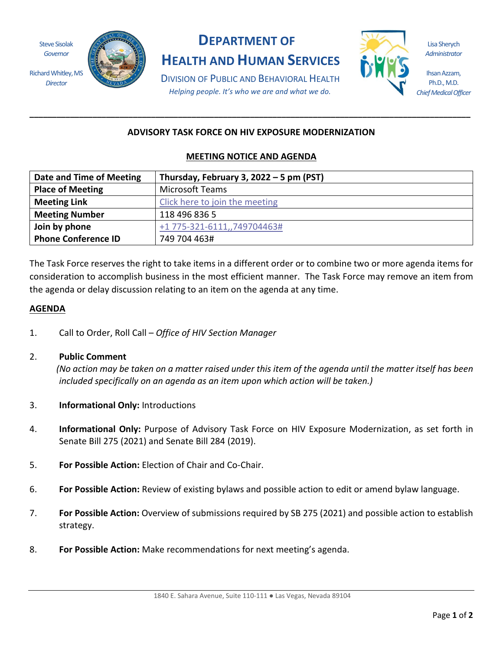Steve Sisolak *Governor*

Richard Whitley, MS *Director*



# **DEPARTMENT OF**

**HEALTH AND HUMAN SERVICES**

Lisa Sherych *Administrator*

Ihsan Azzam, Ph.D., M.D. *Chief Medical Officer*

DIVISION OF PUBLIC AND BEHAVIORAL HEALTH *Helping people. It's who we are and what we do.*

# **ADVISORY TASK FORCE ON HIV EXPOSURE MODERNIZATION**

**\_\_\_\_\_\_\_\_\_\_\_\_\_\_\_\_\_\_\_\_\_\_\_\_\_\_\_\_\_\_\_\_\_\_\_\_\_\_\_\_\_\_\_\_\_\_\_\_\_\_\_\_\_\_\_\_\_\_\_\_\_\_\_\_\_\_\_\_\_\_\_\_\_\_\_\_\_\_\_\_\_\_\_\_\_\_\_\_\_\_\_\_\_\_\_\_\_\_**

## **MEETING NOTICE AND AGENDA**

| Date and Time of Meeting   | Thursday, February 3, 2022 - 5 pm (PST) |
|----------------------------|-----------------------------------------|
| <b>Place of Meeting</b>    | <b>Microsoft Teams</b>                  |
| <b>Meeting Link</b>        | Click here to join the meeting          |
| <b>Meeting Number</b>      | 118 496 836 5                           |
| Join by phone              | +1 775-321-6111,,749704463#             |
| <b>Phone Conference ID</b> | 749 704 463#                            |

The Task Force reserves the right to take items in a different order or to combine two or more agenda items for consideration to accomplish business in the most efficient manner. The Task Force may remove an item from the agenda or delay discussion relating to an item on the agenda at any time.

## **AGENDA**

1. Call to Order, Roll Call – *Office of HIV Section Manager*

## 2. **Public Comment**

 *(No action may be taken on a matter raised under this item of the agenda until the matter itself has been included specifically on an agenda as an item upon which action will be taken.)*

- 3. **Informational Only:** Introductions
- 4. **Informational Only:** Purpose of Advisory Task Force on HIV Exposure Modernization, as set forth in Senate Bill 275 (2021) and Senate Bill 284 (2019).
- 5. **For Possible Action:** Election of Chair and Co-Chair.
- 6. **For Possible Action:** Review of existing bylaws and possible action to edit or amend bylaw language.
- 7. **For Possible Action:** Overview of submissions required by SB 275 (2021) and possible action to establish strategy.
- 8. **For Possible Action:** Make recommendations for next meeting's agenda.